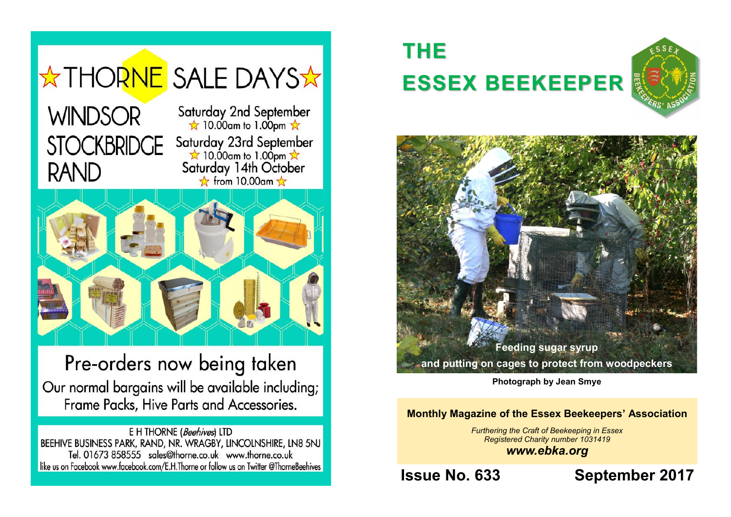

Pre-orders now being taken Our normal bargains will be available including; Frame Packs, Hive Parts and Accessories.

E H THORNE (Beehives) LTD BEEHIVE BUSINESS PARK, RAND, NR. WRAGBY, LINCOLNSHIRE, LN8 5NJ Tel. 01673 858555 sales@thorne.co.uk www.thorne.co.uk like us on Facebook www.facebook.com/E.H.Thorne or follow us on Twitter @ThorneBeehives

16

# **THE ESSEX BEEKEEPER**





**Photograph by Jean Smye**

#### **Monthly Magazine of the Essex Beekeepers' Association**

*Furthering the Craft of Beekeeping in Essex Registered Charity number 1031419 www.ebka.org*

**Issue No. 633 September 2017**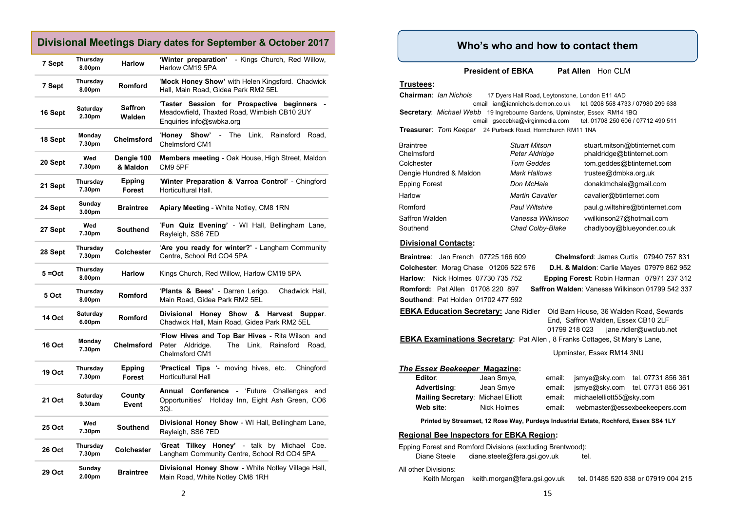#### **Divisional Meetings Diary dates for September & October 2017**

| 7 Sept        | Thursday<br>8.00pm | <b>Harlow</b>          | - Kings Church, Red Willow,<br>'Winter preparation'<br>Harlow CM19 5PA                                                     |  |
|---------------|--------------------|------------------------|----------------------------------------------------------------------------------------------------------------------------|--|
| 7 Sept        | Thursday<br>8.00pm | <b>Romford</b>         | 'Mock Honey Show' with Helen Kingsford. Chadwick<br>Hall, Main Road, Gidea Park RM2 5EL                                    |  |
| 16 Sept       | Saturday<br>2.30pm | Saffron<br>Walden      | 'Taster Session for Prospective<br>beginners<br>Meadowfield, Thaxted Road, Wimbish CB10 2UY<br>Enquiries info@swbka.org    |  |
| 18 Sept       | Monday<br>7.30pm   | <b>Chelmsford</b>      | <b>Honey</b><br>Show'<br>The<br>Link,<br>Rainsford<br>Road,<br>$\sim$<br>Chelmsford CM1                                    |  |
| 20 Sept       | Wed<br>7.30pm      | Dengie 100<br>& Maldon | <b>Members meeting - Oak House, High Street, Maldon</b><br>CM9 5PF                                                         |  |
| 21 Sept       | Thursday<br>7.30pm | Epping<br>Forest       | 'Winter Preparation & Varroa Control' - Chingford<br>Horticultural Hall.                                                   |  |
| 24 Sept       | Sunday<br>3.00pm   | <b>Braintree</b>       | <b>Apiary Meeting - White Notley, CM8 1RN</b>                                                                              |  |
| 27 Sept       | Wed<br>7.30pm      | <b>Southend</b>        | 'Fun Quiz Evening' - WI Hall, Bellingham Lane,<br>Rayleigh, SS6 7ED                                                        |  |
| 28 Sept       | Thursday<br>7.30pm | <b>Colchester</b>      | 'Are you ready for winter?' - Langham Community<br>Centre, School Rd CO4 5PA                                               |  |
| $5 = Oct$     | Thursday<br>8.00pm | <b>Harlow</b>          | Kings Church, Red Willow, Harlow CM19 5PA                                                                                  |  |
| 5 Oct         | Thursday<br>8.00pm | <b>Romford</b>         | 'Plants & Bees' - Darren Lerigo.<br>Chadwick Hall,<br>Main Road, Gidea Park RM2 5EL                                        |  |
| <b>14 Oct</b> | Saturday<br>6.00pm | <b>Romford</b>         | Divisional<br>Honey Show<br>&<br>Harvest<br>Supper.<br>Chadwick Hall, Main Road, Gidea Park RM2 5EL                        |  |
| <b>16 Oct</b> | Monday<br>7.30pm   | <b>Chelmsford</b>      | 'Flow Hives and Top Bar Hives - Rita Wilson and<br>Peter Aldridge.<br>The<br>Link,<br>Rainsford<br>Road,<br>Chelmsford CM1 |  |
| <b>19 Oct</b> | Thursday<br>7.30pm | Epping<br>Forest       | 'Practical Tips '- moving hives, etc.<br>Chingford<br><b>Horticultural Hall</b>                                            |  |
| 21 Oct        | Saturday<br>9.30am | County<br>Event        | Annual Conference - 'Future Challenges<br>and<br>Holiday Inn, Eight Ash Green, CO6<br>Opportunities'<br>3QL                |  |
| 25 Oct        | Wed<br>7.30pm      | <b>Southend</b>        | Divisional Honey Show - WI Hall, Bellingham Lane,<br>Rayleigh, SS6 7ED                                                     |  |
| <b>26 Oct</b> | Thursday<br>7.30pm | <b>Colchester</b>      | 'Great Tilkey Honey' - talk by Michael Coe.<br>Langham Community Centre, School Rd CO4 5PA                                 |  |
| 29 Oct        | Sunday<br>2.00pm   | <b>Braintree</b>       | <b>Divisional Honey Show</b> - White Notley Village Hall,<br>Main Road, White Notley CM8 1RH                               |  |

### **Who's who and how to contact them**

**President of EBKA** Pat Allen Hon CLM

#### **Trustees:**

**Chairman**: *Ian Nichols* 17 Dyers Hall Road, Leytonstone, London E11 4AD email ian@iannichols.demon.co.uk tel. 0208 558 4733 / 07980 299 638 **Secretary**: *Michael Webb* 19 Ingrebourne Gardens, Upminster, Essex RM14 1BQ email gsecebka@virginmedia.com tel. 01708 250 606 / 07712 490 511 **Treasurer**: *Tom Keeper* 24 Purbeck Road, Hornchurch RM11 1NA

| <b>Braintree</b>        | <b>Stuart Mitson</b>   | stuart.mitson@btinternet.com    |
|-------------------------|------------------------|---------------------------------|
| Chelmsford              | Peter Aldridge         | phaldridge@btinternet.com       |
| Colchester              | <b>Tom Geddes</b>      | tom.geddes@btinternet.com       |
| Dengie Hundred & Maldon | Mark Hallows           | trustee@dmbka.org.uk            |
| Epping Forest           | Don McHale             | donaldmchale@gmail.com          |
| Harlow                  | <b>Martin Cavalier</b> | cavalier@btinternet.com         |
| Romford                 | <b>Paul Wiltshire</b>  | paul.g.wiltshire@btinternet.com |
| Saffron Walden          | Vanessa Wilkinson      | vwilkinson27@hotmail.com        |
| Southend                | Chad Colby-Blake       | chadlyboy@blueyonder.co.uk      |

#### **Divisional Contacts:**

**Braintree**: Jan French 07725 166 609 **Chelmsford**: James Curtis 07940 757 831 **Colchester**: Morag Chase 01206 522 576 **D.H. & Maldon**: Carlie Mayes 07979 862 952 **Harlow**: Nick Holmes 07730 735 752 **Epping Forest**: Robin Harman 07971 237 312 **Romford:** Pat Allen 01708 220 897 **Saffron Walden**: Vanessa Wilkinson 01799 542 337 **Southend**: Pat Holden 01702 477 592 **EBKA Education Secretary:** Jane Ridler Old Barn House, 36 Walden Road, Sewards End, Saffron Walden, Essex CB10 2LF 01799 218 023 jane.ridler@uwclub.net **EBKA Examinations Secretary:** Pat Allen , 8 Franks Cottages, St Mary's Lane, Upminster, Essex RM14 3NU *The Essex Beekeeper* **Magazine: Editor**: Jean Smye, email: jsmye@sky.com tel. 07731 856 361 **Advertising**: Jean Smye email: jsmye@sky.com tel. 07731 856 361 **Mailing Secretary:** Michael Elliott email: michaelelliott55@sky.com **Web site**: Nick Holmes email: webmaster@essexbeekeepers.com **Printed by Streamset, 12 Rose Way, Purdeys Industrial Estate, Rochford, Essex SS4 1LY Regional Bee Inspectors for EBKA Region:** Epping Forest and Romford Divisions (excluding Brentwood): Diane Steele diane.steele@fera.gsi.gov.uk tel. All other Divisions: Keith Morgan keith.morgan@fera.gsi.gov.uk tel. 01485 520 838 or 07919 004 215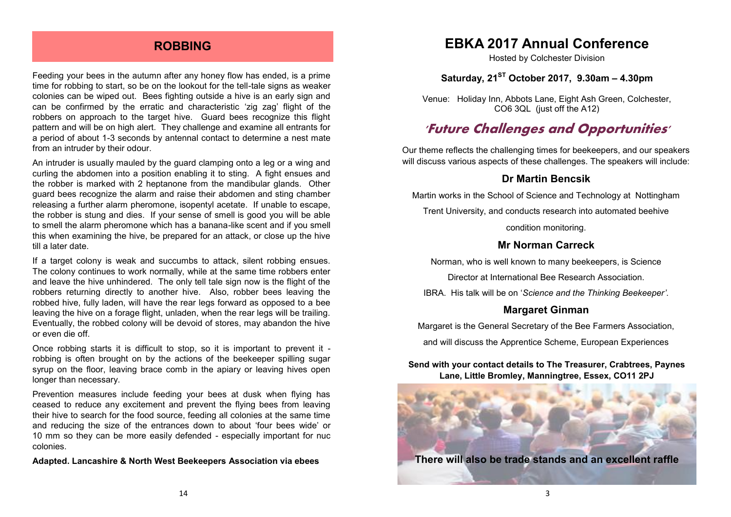#### **ROBBING**

Feeding your bees in the autumn after any honey flow has ended, is a prime time for robbing to start, so be on the lookout for the tell-tale signs as weaker colonies can be wiped out. Bees fighting outside a hive is an early sign and can be confirmed by the erratic and characteristic 'zig zag' flight of the robbers on approach to the target hive. Guard bees recognize this flight pattern and will be on high alert. They challenge and examine all entrants for a period of about 1-3 seconds by antennal contact to determine a nest mate from an intruder by their odour.

An intruder is usually mauled by the guard clamping onto a leg or a wing and curling the abdomen into a position enabling it to sting. A fight ensues and the robber is marked with 2 heptanone from the mandibular glands. Other guard bees recognize the alarm and raise their abdomen and sting chamber releasing a further alarm pheromone, isopentyl acetate. If unable to escape, the robber is stung and dies. If your sense of smell is good you will be able to smell the alarm pheromone which has a banana-like scent and if you smell this when examining the hive, be prepared for an attack, or close up the hive till a later date.

If a target colony is weak and succumbs to attack, silent robbing ensues. The colony continues to work normally, while at the same time robbers enter and leave the hive unhindered. The only tell tale sign now is the flight of the robbers returning directly to another hive. Also, robber bees leaving the robbed hive, fully laden, will have the rear legs forward as opposed to a bee leaving the hive on a forage flight, unladen, when the rear legs will be trailing. Eventually, the robbed colony will be devoid of stores, may abandon the hive or even die off.

Once robbing starts it is difficult to stop, so it is important to prevent it robbing is often brought on by the actions of the beekeeper spilling sugar syrup on the floor, leaving brace comb in the apiary or leaving hives open longer than necessary.

Prevention measures include feeding your bees at dusk when flying has ceased to reduce any excitement and prevent the flying bees from leaving their hive to search for the food source, feeding all colonies at the same time and reducing the size of the entrances down to about 'four bees wide' or 10 mm so they can be more easily defended - especially important for nuc colonies.

**Adapted. Lancashire & North West Beekeepers Association via ebees**

## **EBKA 2017 Annual Conference**

Hosted by Colchester Division

#### **Saturday, 21ST October 2017, 9.30am – 4.30pm**

Venue: Holiday Inn, Abbots Lane, Eight Ash Green, Colchester, CO6 3QL (just off the A12)

## **'Future Challenges and Opportunities'**

Our theme reflects the challenging times for beekeepers, and our speakers will discuss various aspects of these challenges. The speakers will include:

#### **Dr Martin Bencsik**

Martin works in the School of Science and Technology at Nottingham Trent University, and conducts research into automated beehive

condition monitoring.

#### **Mr Norman Carreck**

Norman, who is well known to many beekeepers, is Science

Director at International Bee Research Association.

IBRA. His talk will be on '*Science and the Thinking Beekeeper'*.

#### **Margaret Ginman**

Margaret is the General Secretary of the Bee Farmers Association,

and will discuss the Apprentice Scheme, European Experiences

**Send with your contact details to The Treasurer, Crabtrees, Paynes Lane, Little Bromley, Manningtree, Essex, CO11 2PJ**

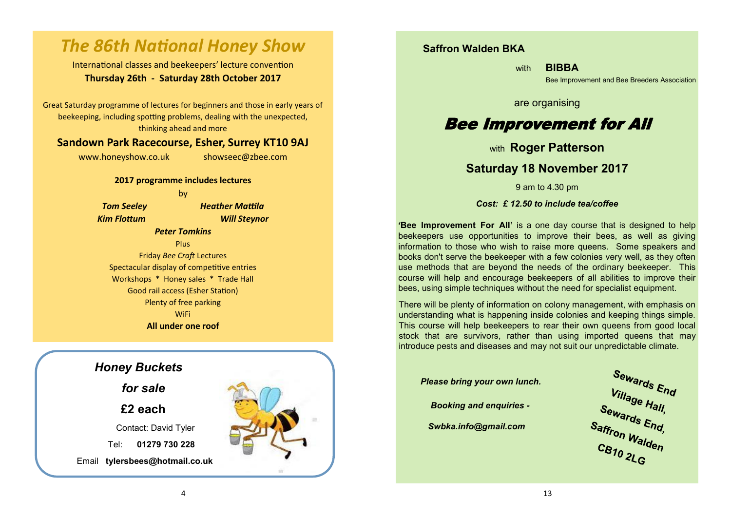## *The 86th National Honey Show*

International classes and beekeepers' lecture convention **Thursday 26th - Saturday 28th October 2017**

Great Saturday programme of lectures for beginners and those in early years of beekeeping, including spotting problems, dealing with the unexpected, thinking ahead and more

#### **Sandown Park Racecourse, Esher, Surrey KT10 9AJ**

www.honeyshow.co.uk showseec@zbee.com

**2017 programme includes lectures**

by

*Tom Seeley Heather Mattila Kim Flottum Will Steynor*

#### *Peter Tomkins*

Plus Friday *Bee Craft* Lectures

Spectacular display of competitive entries Workshops \* Honey sales \* Trade Hall Good rail access (Esher Station) Plenty of free parking **WiFi All under one roof**

## *Honey Buckets*

*for sale*

**£2 each**

Contact: David Tyler

Tel: **01279 730 228** 

Email **tylersbees@hotmail.co.uk**



#### **Saffron Walden BKA**

with **BIBBA** 

Bee Improvement and Bee Breeders Association

are organising

## Bee Improvement for All

with **Roger Patterson**

#### **Saturday 18 November 2017**

9 am to 4.30 pm

*Cost: £ 12.50 to include tea/coffee*

**'Bee Improvement For All'** is a one day course that is designed to help beekeepers use opportunities to improve their bees, as well as giving information to those who wish to raise more queens. Some speakers and books don't serve the beekeeper with a few colonies very well, as they often use methods that are beyond the needs of the ordinary beekeeper. This course will help and encourage beekeepers of all abilities to improve their bees, using simple techniques without the need for specialist equipment.

There will be plenty of information on colony management, with emphasis on understanding what is happening inside colonies and keeping things simple. This course will help beekeepers to rear their own queens from good local stock that are survivors, rather than using imported queens that may introduce pests and diseases and may not suit our unpredictable climate.

 *Please bring your own lunch.*

*Booking and enquiries -*

*Swbka.info@gmail.com*

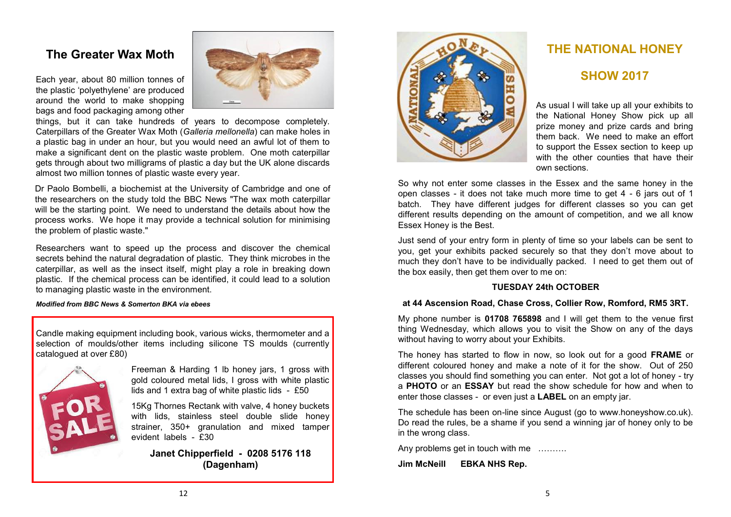## **The Greater Wax Moth**

Each year, about 80 million tonnes of the plastic 'polyethylene' are produced around the world to make shopping bags and food packaging among other



things, but it can take hundreds of years to decompose completely. Caterpillars of the Greater Wax Moth (*Galleria mellonella*) can make holes in a plastic bag in under an hour, but you would need an awful lot of them to make a significant dent on the plastic waste problem. One moth caterpillar gets through about two milligrams of plastic a day but the UK alone discards almost two million tonnes of plastic waste every year.

Dr Paolo Bombelli, a biochemist at the University of Cambridge and one of the researchers on the study told the BBC News "The wax moth caterpillar will be the starting point. We need to understand the details about how the process works. We hope it may provide a technical solution for minimising the problem of plastic waste."

Researchers want to speed up the process and discover the chemical secrets behind the natural degradation of plastic. They think microbes in the caterpillar, as well as the insect itself, might play a role in breaking down plastic. If the chemical process can be identified, it could lead to a solution to managing plastic waste in the environment.

#### *Modified from BBC News & Somerton BKA via ebees*

Candle making equipment including book, various wicks, thermometer and a selection of moulds/other items including silicone TS moulds (currently catalogued at over £80)



Freeman & Harding 1 lb honey jars, 1 gross with gold coloured metal lids, I gross with white plastic lids and 1 extra bag of white plastic lids - £50

15Kg Thornes Rectank with valve, 4 honey buckets with lids, stainless steel double slide honey strainer, 350+ granulation and mixed tamper evident labels - £30

**Janet Chipperfield - 0208 5176 118 (Dagenham)**



## **THE NATIONAL HONEY**

#### **SHOW 2017**

As usual I will take up all your exhibits to the National Honey Show pick up all prize money and prize cards and bring them back. We need to make an effort to support the Essex section to keep up with the other counties that have their own sections.

So why not enter some classes in the Essex and the same honey in the open classes - it does not take much more time to get 4 - 6 jars out of 1 batch. They have different judges for different classes so you can get different results depending on the amount of competition, and we all know Essex Honey is the Best.

Just send of your entry form in plenty of time so your labels can be sent to you, get your exhibits packed securely so that they don't move about to much they don't have to be individually packed. I need to get them out of the box easily, then get them over to me on:

#### **TUESDAY 24th OCTOBER**

#### **at 44 Ascension Road, Chase Cross, Collier Row, Romford, RM5 3RT.**

My phone number is **01708 765898** and I will get them to the venue first thing Wednesday, which allows you to visit the Show on any of the days without having to worry about your Exhibits.

The honey has started to flow in now, so look out for a good **FRAME** or different coloured honey and make a note of it for the show. Out of 250 classes you should find something you can enter. Not got a lot of honey - try a **PHOTO** or an **ESSAY** but read the show schedule for how and when to enter those classes - or even just a **LABEL** on an empty jar.

The schedule has been on-line since August (go to www.honeyshow.co.uk). Do read the rules, be a shame if you send a winning jar of honey only to be in the wrong class.

Any problems get in touch with me ……….

**Jim McNeill EBKA NHS Rep.**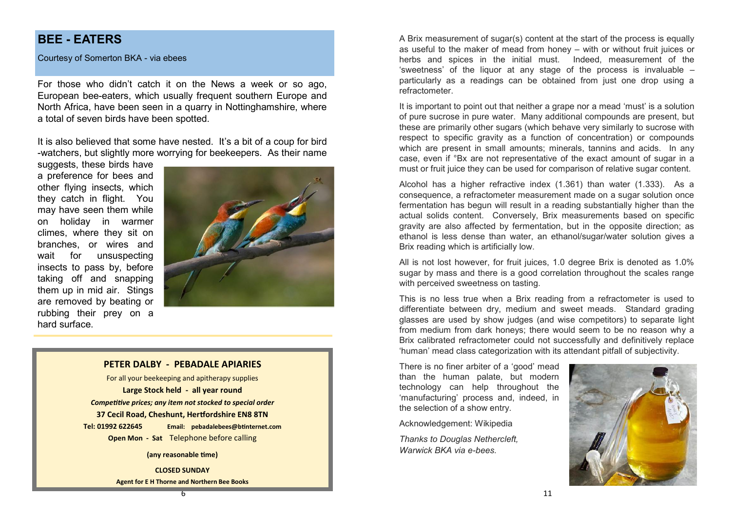## **BEE - EATERS**

Courtesy of Somerton BKA - via ebees

For those who didn't catch it on the News a week or so ago, European bee-eaters, which usually frequent southern Europe and North Africa, have been seen in a quarry in Nottinghamshire, where a total of seven birds have been spotted.

It is also believed that some have nested. It's a bit of a coup for bird -watchers, but slightly more worrying for beekeepers. As their name

suggests, these birds have a preference for bees and other flying insects, which they catch in flight. You may have seen them while on holiday in warmer climes, where they sit on branches, or wires and wait for unsuspecting insects to pass by, before taking off and snapping them up in mid air. Stings are removed by beating or rubbing their prey on a hard surface.



#### **PETER DALBY - PEBADALE APIARIES**

For all your beekeeping and apitherapy supplies **Large Stock held - all year round** *Competitive prices; any item not stocked to special order* **37 Cecil Road, Cheshunt, Hertfordshire EN8 8TN Tel: 01992 622645 Email: pebadalebees@btinternet.com**

**Open Mon - Sat** Telephone before calling

**(any reasonable time)**

**CLOSED SUNDAY Agent for E H Thorne and Northern Bee Books** A Brix measurement of sugar(s) content at the start of the process is equally as useful to the maker of mead from honey – with or without fruit juices or herbs and spices in the initial must. Indeed, measurement of the 'sweetness' of the liquor at any stage of the process is invaluable – particularly as a readings can be obtained from just one drop using a refractometer.

It is important to point out that neither a grape nor a mead 'must' is a solution of pure sucrose in pure water. Many additional compounds are present, but these are primarily other sugars (which behave very similarly to sucrose with respect to specific gravity as a function of concentration) or compounds which are present in small amounts; minerals, tannins and acids. In any case, even if °Bx are not representative of the exact amount of sugar in a must or fruit juice they can be used for comparison of relative sugar content.

Alcohol has a higher refractive index (1.361) than water (1.333). As a consequence, a refractometer measurement made on a sugar solution once fermentation has begun will result in a reading substantially higher than the actual solids content. Conversely, Brix measurements based on specific gravity are also affected by fermentation, but in the opposite direction; as ethanol is less dense than water, an ethanol/sugar/water solution gives a Brix reading which is artificially low.

All is not lost however, for fruit juices, 1.0 degree Brix is denoted as 1.0% sugar by mass and there is a good correlation throughout the scales range with perceived sweetness on tasting.

This is no less true when a Brix reading from a refractometer is used to differentiate between dry, medium and sweet meads. Standard grading glasses are used by show judges (and wise competitors) to separate light from medium from dark honeys; there would seem to be no reason why a Brix calibrated refractometer could not successfully and definitively replace 'human' mead class categorization with its attendant pitfall of subjectivity.

There is no finer arbiter of a 'good' mead than the human palate, but modern technology can help throughout the 'manufacturing' process and, indeed, in the selection of a show entry.

Acknowledgement: Wikipedia

*Thanks to Douglas Nethercleft, Warwick BKA via e-bees.*

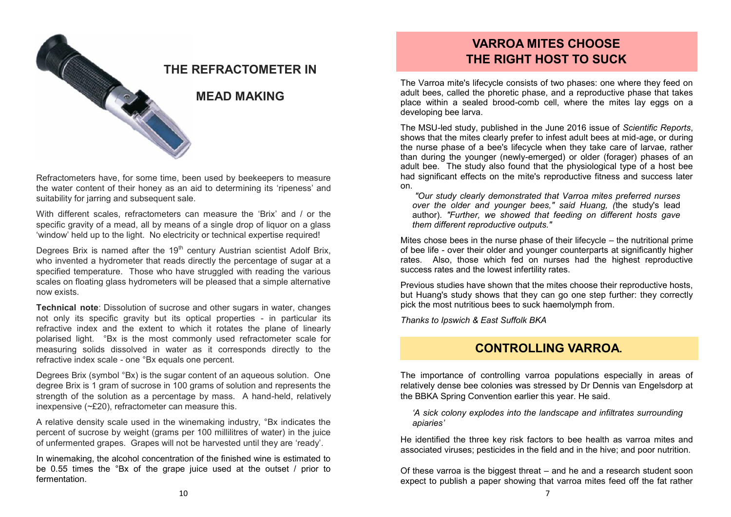

Refractometers have, for some time, been used by beekeepers to measure the water content of their honey as an aid to determining its 'ripeness' and suitability for jarring and subsequent sale.

With different scales, refractometers can measure the 'Brix' and / or the specific gravity of a mead, all by means of a single drop of liquor on a glass 'window' held up to the light. No electricity or technical expertise required!

Degrees Brix is named after the  $19<sup>th</sup>$  century Austrian scientist Adolf Brix, who invented a hydrometer that reads directly the percentage of sugar at a specified temperature. Those who have struggled with reading the various scales on floating glass hydrometers will be pleased that a simple alternative now exists.

**Technical note**: Dissolution of sucrose and other sugars in water, changes not only its specific gravity but its optical properties - in particular its refractive index and the extent to which it rotates the plane of linearly polarised light. °Bx is the most commonly used refractometer scale for measuring solids dissolved in water as it corresponds directly to the refractive index scale - one °Bx equals one percent.

Degrees Brix (symbol °Bx) is the sugar content of an aqueous solution. One degree Brix is 1 gram of sucrose in 100 grams of solution and represents the strength of the solution as a percentage by mass. A hand-held, relatively inexpensive (~£20), refractometer can measure this.

A relative density scale used in the winemaking industry, °Bx indicates the percent of sucrose by weight (grams per 100 millilitres of water) in the juice of unfermented grapes. Grapes will not be harvested until they are 'ready'.

In winemaking, the alcohol concentration of the finished wine is estimated to be 0.55 times the °Bx of the grape juice used at the outset / prior to fermentation.

## **VARROA MITES CHOOSE THE RIGHT HOST TO SUCK**

The Varroa mite's lifecycle consists of two phases: one where they feed on adult bees, called the phoretic phase, and a reproductive phase that takes place within a sealed brood-comb cell, where the mites lay eggs on a developing bee larva.

The MSU-led study, published in the June 2016 issue of *Scientific Reports*, shows that the mites clearly prefer to infest adult bees at mid-age, or during the nurse phase of a bee's lifecycle when they take care of larvae, rather than during the younger (newly-emerged) or older (forager) phases of an adult bee. The study also found that the physiological type of a host bee had significant effects on the mite's reproductive fitness and success later on.

*"Our study clearly demonstrated that Varroa mites preferred nurses over the older and younger bees," said Huang, (*the study's lead author)*. "Further, we showed that feeding on different hosts gave them different reproductive outputs."*

Mites chose bees in the nurse phase of their lifecycle – the nutritional prime of bee life - over their older and younger counterparts at significantly higher rates. Also, those which fed on nurses had the highest reproductive success rates and the lowest infertility rates.

Previous studies have shown that the mites choose their reproductive hosts, but Huang's study shows that they can go one step further: they correctly pick the most nutritious bees to suck haemolymph from.

*Thanks to Ipswich & East Suffolk BKA*

### **CONTROLLING VARROA.**

The importance of controlling varroa populations especially in areas of relatively dense bee colonies was stressed by Dr Dennis van Engelsdorp at the BBKA Spring Convention earlier this year. He said.

*'A sick colony explodes into the landscape and infiltrates surrounding apiaries'*

He identified the three key risk factors to bee health as varroa mites and associated viruses; pesticides in the field and in the hive; and poor nutrition.

Of these varroa is the biggest threat – and he and a research student soon expect to publish a paper showing that varroa mites feed off the fat rather